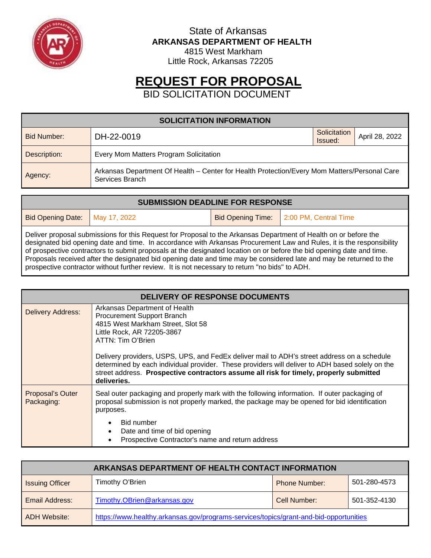

 State of Arkansas **ARKANSAS DEPARTMENT OF HEALTH** 4815 West Markham

Little Rock, Arkansas 72205

# **REQUEST FOR PROPOSAL**

BID SOLICITATION DOCUMENT

| <b>SOLICITATION INFORMATION</b>                                                                                            |            |                         |                |  |
|----------------------------------------------------------------------------------------------------------------------------|------------|-------------------------|----------------|--|
| Bid Number:                                                                                                                | DH-22-0019 | Solicitation<br>Issued: | April 28, 2022 |  |
| Every Mom Matters Program Solicitation<br>Description:                                                                     |            |                         |                |  |
| Arkansas Department Of Health - Center for Health Protection/Every Mom Matters/Personal Care<br>Agency:<br>Services Branch |            |                         |                |  |

| <b>SUBMISSION DEADLINE FOR RESPONSE</b>                                                                                                                                                                                                                                                                                                                                                                                                                                                                                                          |  |  |                                           |
|--------------------------------------------------------------------------------------------------------------------------------------------------------------------------------------------------------------------------------------------------------------------------------------------------------------------------------------------------------------------------------------------------------------------------------------------------------------------------------------------------------------------------------------------------|--|--|-------------------------------------------|
| Bid Opening Date: May 17, 2022                                                                                                                                                                                                                                                                                                                                                                                                                                                                                                                   |  |  | Bid Opening Time:   2:00 PM, Central Time |
| Deliver proposal submissions for this Request for Proposal to the Arkansas Department of Health on or before the<br>$\mathbf{A} = \mathbf{A} + \mathbf{A} + \mathbf{A} + \mathbf{A} + \mathbf{A} + \mathbf{A} + \mathbf{A} + \mathbf{A} + \mathbf{A} + \mathbf{A} + \mathbf{A} + \mathbf{A} + \mathbf{A} + \mathbf{A} + \mathbf{A} + \mathbf{A} + \mathbf{A} + \mathbf{A} + \mathbf{A} + \mathbf{A} + \mathbf{A} + \mathbf{A} + \mathbf{A} + \mathbf{A} + \mathbf{A} + \mathbf{A} + \mathbf{A} + \mathbf{A} + \mathbf{A} + \mathbf{A} + \mathbf$ |  |  |                                           |

designated bid opening date and time. In accordance with Arkansas Procurement Law and Rules, it is the responsibility of prospective contractors to submit proposals at the designated location on or before the bid opening date and time. Proposals received after the designated bid opening date and time may be considered late and may be returned to the prospective contractor without further review. It is not necessary to return "no bids" to ADH.

| DELIVERY OF RESPONSE DOCUMENTS |                                                                                                                                                                                                                                                                                                                                                                                                                                                                |  |  |
|--------------------------------|----------------------------------------------------------------------------------------------------------------------------------------------------------------------------------------------------------------------------------------------------------------------------------------------------------------------------------------------------------------------------------------------------------------------------------------------------------------|--|--|
| <b>Delivery Address:</b>       | Arkansas Department of Health<br>Procurement Support Branch<br>4815 West Markham Street, Slot 58<br>Little Rock, AR 72205-3867<br>ATTN: Tim O'Brien<br>Delivery providers, USPS, UPS, and FedEx deliver mail to ADH's street address on a schedule<br>determined by each individual provider. These providers will deliver to ADH based solely on the<br>street address. Prospective contractors assume all risk for timely, properly submitted<br>deliveries. |  |  |
| Proposal's Outer<br>Packaging: | Seal outer packaging and properly mark with the following information. If outer packaging of<br>proposal submission is not properly marked, the package may be opened for bid identification<br>purposes.<br><b>Bid number</b><br>Date and time of bid opening<br>Prospective Contractor's name and return address                                                                                                                                             |  |  |

| ARKANSAS DEPARTMENT OF HEALTH CONTACT INFORMATION                                                            |                             |                      |              |  |
|--------------------------------------------------------------------------------------------------------------|-----------------------------|----------------------|--------------|--|
| <b>Issuing Officer</b>                                                                                       | Timothy O'Brien             | <b>Phone Number:</b> | 501-280-4573 |  |
| Email Address:                                                                                               | Timothy.OBrien@arkansas.gov | Cell Number:         | 501-352-4130 |  |
| https://www.healthy.arkansas.gov/programs-services/topics/grant-and-bid-opportunities<br><b>ADH Website:</b> |                             |                      |              |  |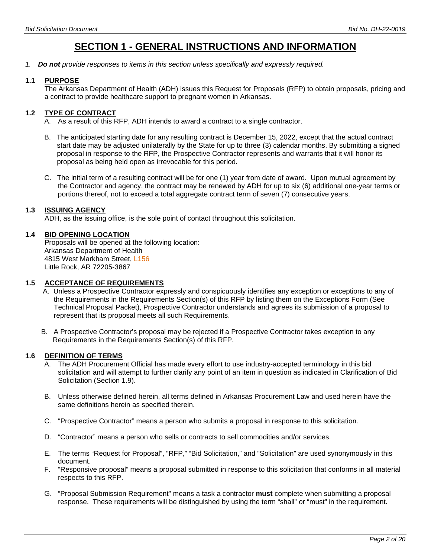# **SECTION 1 - GENERAL INSTRUCTIONS AND INFORMATION**

*1. Do not provide responses to items in this section unless specifically and expressly required.*

#### **1.1 PURPOSE**

The Arkansas Department of Health (ADH) issues this Request for Proposals (RFP) to obtain proposals, pricing and a contract to provide healthcare support to pregnant women in Arkansas.

### **1.2 TYPE OF CONTRACT**

- A. As a result of this RFP, ADH intends to award a contract to a single contractor.
- B. The anticipated starting date for any resulting contract is December 15, 2022, except that the actual contract start date may be adjusted unilaterally by the State for up to three (3) calendar months. By submitting a signed proposal in response to the RFP, the Prospective Contractor represents and warrants that it will honor its proposal as being held open as irrevocable for this period.
- C. The initial term of a resulting contract will be for one (1) year from date of award. Upon mutual agreement by the Contractor and agency, the contract may be renewed by ADH for up to six (6) additional one-year terms or portions thereof, not to exceed a total aggregate contract term of seven (7) consecutive years.

#### **1.3 ISSUING AGENCY**

ADH, as the issuing office, is the sole point of contact throughout this solicitation.

#### **1.4 BID OPENING LOCATION**

Proposals will be opened at the following location: Arkansas Department of Health 4815 West Markham Street, L156 Little Rock, AR 72205-3867

#### **1.5 ACCEPTANCE OF REQUIREMENTS**

- A. Unless a Prospective Contractor expressly and conspicuously identifies any exception or exceptions to any of the Requirements in the Requirements Section(s) of this RFP by listing them on the Exceptions Form (See Technical Proposal Packet), Prospective Contractor understands and agrees its submission of a proposal to represent that its proposal meets all such Requirements.
- B. A Prospective Contractor's proposal may be rejected if a Prospective Contractor takes exception to any Requirements in the Requirements Section(s) of this RFP.

#### **1.6 DEFINITION OF TERMS**

- A. The ADH Procurement Official has made every effort to use industry-accepted terminology in this bid solicitation and will attempt to further clarify any point of an item in question as indicated in Clarification of Bid Solicitation (Section 1.9).
- B. Unless otherwise defined herein, all terms defined in Arkansas Procurement Law and used herein have the same definitions herein as specified therein.
- C. "Prospective Contractor" means a person who submits a proposal in response to this solicitation.
- D. "Contractor" means a person who sells or contracts to sell commodities and/or services.
- E. The terms "Request for Proposal", "RFP," "Bid Solicitation," and "Solicitation" are used synonymously in this document.
- F. "Responsive proposal" means a proposal submitted in response to this solicitation that conforms in all material respects to this RFP.
- G. "Proposal Submission Requirement" means a task a contractor **must** complete when submitting a proposal response. These requirements will be distinguished by using the term "shall" or "must" in the requirement.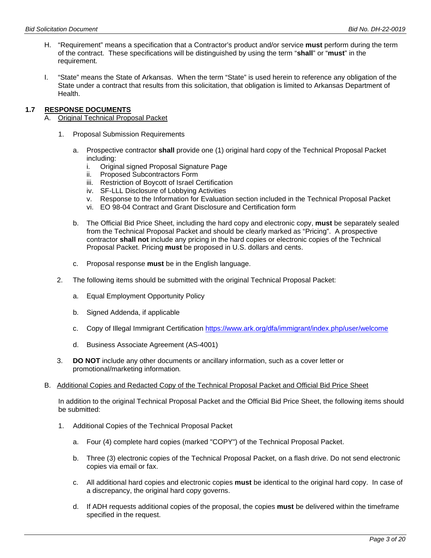- H. "Requirement" means a specification that a Contractor's product and/or service **must** perform during the term of the contract. These specifications will be distinguished by using the term "**shall**" or "**must**" in the requirement.
- I. "State" means the State of Arkansas. When the term "State" is used herein to reference any obligation of the State under a contract that results from this solicitation, that obligation is limited to Arkansas Department of Health.

#### **1.7 RESPONSE DOCUMENTS**

- A. Original Technical Proposal Packet
	- 1. Proposal Submission Requirements
		- a. Prospective contractor **shall** provide one (1) original hard copy of the Technical Proposal Packet including:
			- i. Original signed Proposal Signature Page
			- ii. Proposed Subcontractors Form
			- iii. Restriction of Boycott of Israel Certification
			- iv. SF-LLL Disclosure of Lobbying Activities
			- v. Response to the Information for Evaluation section included in the Technical Proposal Packet
			- vi. EO 98-04 Contract and Grant Disclosure and Certification form
		- b. The Official Bid Price Sheet, including the hard copy and electronic copy, **must** be separately sealed from the Technical Proposal Packet and should be clearly marked as "Pricing". A prospective contractor **shall not** include any pricing in the hard copies or electronic copies of the Technical Proposal Packet. Pricing **must** be proposed in U.S. dollars and cents.
		- c. Proposal response **must** be in the English language.
	- 2. The following items should be submitted with the original Technical Proposal Packet:
		- a. Equal Employment Opportunity Policy
		- b. Signed Addenda, if applicable
		- c. Copy of Illegal Immigrant Certification<https://www.ark.org/dfa/immigrant/index.php/user/welcome>
		- d. Business Associate Agreement (AS-4001)
	- 3. **DO NOT** include any other documents or ancillary information, such as a cover letter or promotional/marketing information*.*
- B. Additional Copies and Redacted Copy of the Technical Proposal Packet and Official Bid Price Sheet

In addition to the original Technical Proposal Packet and the Official Bid Price Sheet, the following items should be submitted:

- 1. Additional Copies of the Technical Proposal Packet
	- a. Four (4) complete hard copies (marked "COPY") of the Technical Proposal Packet.
	- b. Three (3) electronic copies of the Technical Proposal Packet, on a flash drive. Do not send electronic copies via email or fax.
	- c. All additional hard copies and electronic copies **must** be identical to the original hard copy. In case of a discrepancy, the original hard copy governs.
	- d. If ADH requests additional copies of the proposal, the copies **must** be delivered within the timeframe specified in the request.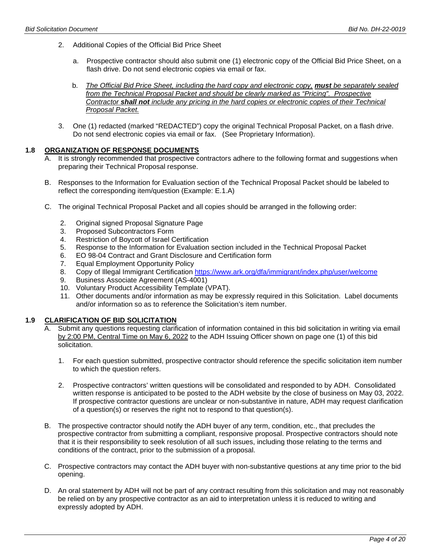- 2. Additional Copies of the Official Bid Price Sheet
	- a. Prospective contractor should also submit one (1) electronic copy of the Official Bid Price Sheet, on a flash drive. Do not send electronic copies via email or fax.
	- b. *The Official Bid Price Sheet, including the hard copy and electronic copy, must be separately sealed from the Technical Proposal Packet and should be clearly marked as "Pricing". Prospective Contractor shall not include any pricing in the hard copies or electronic copies of their Technical Proposal Packet.*
- 3. One (1) redacted (marked "REDACTED") copy the original Technical Proposal Packet, on a flash drive. Do not send electronic copies via email or fax. (See Proprietary Information).

#### **1.8 ORGANIZATION OF RESPONSE DOCUMENTS**

- A. It is strongly recommended that prospective contractors adhere to the following format and suggestions when preparing their Technical Proposal response.
- B. Responses to the Information for Evaluation section of the Technical Proposal Packet should be labeled to reflect the corresponding item/question (Example: E.1.A)
- C. The original Technical Proposal Packet and all copies should be arranged in the following order:
	- 2. Original signed Proposal Signature Page
	- 3. Proposed Subcontractors Form
	- 4. Restriction of Boycott of Israel Certification
	- 5. Response to the Information for Evaluation section included in the Technical Proposal Packet<br>6. EO 98-04 Contract and Grant Disclosure and Certification form
	- 6. EO 98-04 Contract and Grant Disclosure and Certification form
	- 7. Equal Employment Opportunity Policy
	- 8. Copy of Illegal Immigrant Certification<https://www.ark.org/dfa/immigrant/index.php/user/welcome>
	- 9. Business Associate Agreement (AS-4001)
	- 10. Voluntary Product Accessibility Template (VPAT).
	- 11. Other documents and/or information as may be expressly required in this Solicitation. Label documents and/or information so as to reference the Solicitation's item number.

# **1.9 CLARIFICATION OF BID SOLICITATION**

- A. Submit any questions requesting clarification of information contained in this bid solicitation in writing via email by 2:00 PM, Central Time on May 6, 2022 to the ADH Issuing Officer shown on page one (1) of this bid solicitation.
	- 1. For each question submitted, prospective contractor should reference the specific solicitation item number to which the question refers.
	- 2. Prospective contractors' written questions will be consolidated and responded to by ADH. Consolidated written response is anticipated to be posted to the ADH website by the close of business on May 03, 2022. If prospective contractor questions are unclear or non-substantive in nature, ADH may request clarification of a question(s) or reserves the right not to respond to that question(s).
- B. The prospective contractor should notify the ADH buyer of any term, condition, etc., that precludes the prospective contractor from submitting a compliant, responsive proposal. Prospective contractors should note that it is their responsibility to seek resolution of all such issues, including those relating to the terms and conditions of the contract, prior to the submission of a proposal.
- C. Prospective contractors may contact the ADH buyer with non-substantive questions at any time prior to the bid opening.
- D. An oral statement by ADH will not be part of any contract resulting from this solicitation and may not reasonably be relied on by any prospective contractor as an aid to interpretation unless it is reduced to writing and expressly adopted by ADH.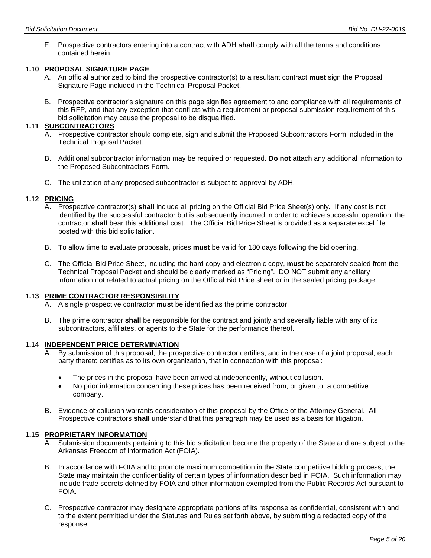E. Prospective contractors entering into a contract with ADH **shall** comply with all the terms and conditions contained herein.

# **1.10 PROPOSAL SIGNATURE PAGE**

- A. An official authorized to bind the prospective contractor(s) to a resultant contract **must** sign the Proposal Signature Page included in the Technical Proposal Packet.
- B. Prospective contractor's signature on this page signifies agreement to and compliance with all requirements of this RFP, and that any exception that conflicts with a requirement or proposal submission requirement of this bid solicitation may cause the proposal to be disqualified.

#### **1.11 SUBCONTRACTORS**

- A. Prospective contractor should complete, sign and submit the Proposed Subcontractors Form included in the Technical Proposal Packet.
- B. Additional subcontractor information may be required or requested. **Do not** attach any additional information to the Proposed Subcontractors Form.
- C. The utilization of any proposed subcontractor is subject to approval by ADH.

#### **1.12 PRICING**

- A. Prospective contractor(s) **shall** include all pricing on the Official Bid Price Sheet(s) only*.* If any cost is not identified by the successful contractor but is subsequently incurred in order to achieve successful operation, the contractor **shall** bear this additional cost. The Official Bid Price Sheet is provided as a separate excel file posted with this bid solicitation.
- B. To allow time to evaluate proposals, prices **must** be valid for 180 days following the bid opening.
- C. The Official Bid Price Sheet, including the hard copy and electronic copy, **must** be separately sealed from the Technical Proposal Packet and should be clearly marked as "Pricing". DO NOT submit any ancillary information not related to actual pricing on the Official Bid Price sheet or in the sealed pricing package.

### **1.13 PRIME CONTRACTOR RESPONSIBILITY**

- A. A single prospective contractor **must** be identified as the prime contractor.
- B. The prime contractor **shall** be responsible for the contract and jointly and severally liable with any of its subcontractors, affiliates, or agents to the State for the performance thereof.

#### **1.14 INDEPENDENT PRICE DETERMINATION**

- A. By submission of this proposal, the prospective contractor certifies, and in the case of a joint proposal, each party thereto certifies as to its own organization, that in connection with this proposal:
	- The prices in the proposal have been arrived at independently, without collusion.
	- No prior information concerning these prices has been received from, or given to, a competitive company.
- B. Evidence of collusion warrants consideration of this proposal by the Office of the Attorney General. All Prospective contractors **shall** understand that this paragraph may be used as a basis for litigation.

#### **1.15 PROPRIETARY INFORMATION**

- A. Submission documents pertaining to this bid solicitation become the property of the State and are subject to the Arkansas Freedom of Information Act (FOIA).
- B. In accordance with FOIA and to promote maximum competition in the State competitive bidding process, the State may maintain the confidentiality of certain types of information described in FOIA. Such information may include trade secrets defined by FOIA and other information exempted from the Public Records Act pursuant to FOIA.
- C. Prospective contractor may designate appropriate portions of its response as confidential, consistent with and to the extent permitted under the Statutes and Rules set forth above, by submitting a redacted copy of the response.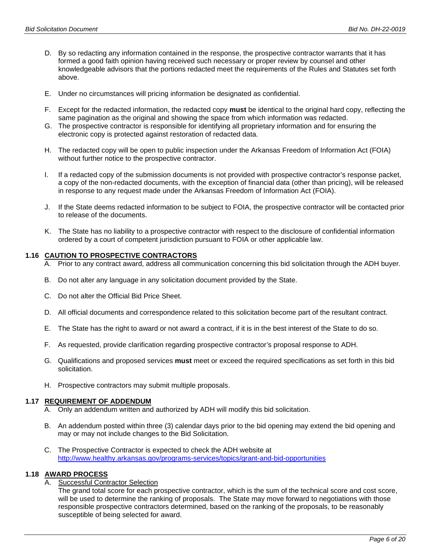- D. By so redacting any information contained in the response, the prospective contractor warrants that it has formed a good faith opinion having received such necessary or proper review by counsel and other knowledgeable advisors that the portions redacted meet the requirements of the Rules and Statutes set forth above.
- E. Under no circumstances will pricing information be designated as confidential.
- F. Except for the redacted information, the redacted copy **must** be identical to the original hard copy, reflecting the same pagination as the original and showing the space from which information was redacted.
- G. The prospective contractor is responsible for identifying all proprietary information and for ensuring the electronic copy is protected against restoration of redacted data.
- H. The redacted copy will be open to public inspection under the Arkansas Freedom of Information Act (FOIA) without further notice to the prospective contractor.
- I. If a redacted copy of the submission documents is not provided with prospective contractor's response packet, a copy of the non-redacted documents, with the exception of financial data (other than pricing), will be released in response to any request made under the Arkansas Freedom of Information Act (FOIA).
- J. If the State deems redacted information to be subject to FOIA, the prospective contractor will be contacted prior to release of the documents.
- K. The State has no liability to a prospective contractor with respect to the disclosure of confidential information ordered by a court of competent jurisdiction pursuant to FOIA or other applicable law.

#### **1.16 CAUTION TO PROSPECTIVE CONTRACTORS**

- A. Prior to any contract award, address all communication concerning this bid solicitation through the ADH buyer.
- B. Do not alter any language in any solicitation document provided by the State.
- C. Do not alter the Official Bid Price Sheet.
- D. All official documents and correspondence related to this solicitation become part of the resultant contract.
- E. The State has the right to award or not award a contract, if it is in the best interest of the State to do so.
- F. As requested, provide clarification regarding prospective contractor's proposal response to ADH.
- G. Qualifications and proposed services **must** meet or exceed the required specifications as set forth in this bid solicitation.
- H. Prospective contractors may submit multiple proposals.

#### **1.17 REQUIREMENT OF ADDENDUM**

- A. Only an addendum written and authorized by ADH will modify this bid solicitation.
- B. An addendum posted within three (3) calendar days prior to the bid opening may extend the bid opening and may or may not include changes to the Bid Solicitation.
- C. The Prospective Contractor is expected to check the ADH website at <http://www.healthy.arkansas.gov/programs-services/topics/grant-and-bid-opportunities>

#### **1.18 AWARD PROCESS**

A. Successful Contractor Selection

The grand total score for each prospective contractor, which is the sum of the technical score and cost score, will be used to determine the ranking of proposals. The State may move forward to negotiations with those responsible prospective contractors determined, based on the ranking of the proposals, to be reasonably susceptible of being selected for award.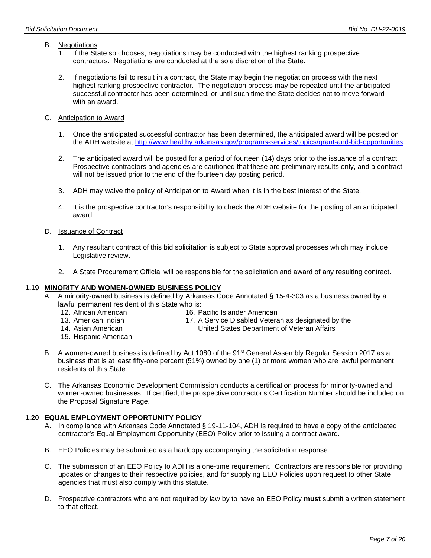#### B. Negotiations

- 1. If the State so chooses, negotiations may be conducted with the highest ranking prospective contractors. Negotiations are conducted at the sole discretion of the State.
- 2. If negotiations fail to result in a contract, the State may begin the negotiation process with the next highest ranking prospective contractor. The negotiation process may be repeated until the anticipated successful contractor has been determined, or until such time the State decides not to move forward with an award.
- C. Anticipation to Award
	- 1. Once the anticipated successful contractor has been determined, the anticipated award will be posted on the ADH website at<http://www.healthy.arkansas.gov/programs-services/topics/grant-and-bid-opportunities>
	- 2. The anticipated award will be posted for a period of fourteen (14) days prior to the issuance of a contract. Prospective contractors and agencies are cautioned that these are preliminary results only, and a contract will not be issued prior to the end of the fourteen day posting period.
	- 3. ADH may waive the policy of Anticipation to Award when it is in the best interest of the State.
	- 4. It is the prospective contractor's responsibility to check the ADH website for the posting of an anticipated award.

#### D. Issuance of Contract

- 1. Any resultant contract of this bid solicitation is subject to State approval processes which may include Legislative review.
- 2. A State Procurement Official will be responsible for the solicitation and award of any resulting contract.

#### **1.19 MINORITY AND WOMEN-OWNED BUSINESS POLICY**

- A. A minority-owned business is defined by Arkansas Code Annotated § 15-4-303 as a business owned by a lawful permanent resident of this State who is:
	- 12. African American 13. American Indian
- 16. Pacific Islander American
- 17. A Service Disabled Veteran as designated by the
- 14. Asian American

United States Department of Veteran Affairs

- 15. Hispanic American
- B. A women-owned business is defined by Act 1080 of the 91<sup>st</sup> General Assembly Regular Session 2017 as a business that is at least fifty-one percent (51%) owned by one (1) or more women who are lawful permanent residents of this State.
- C. The Arkansas Economic Development Commission conducts a certification process for minority-owned and women-owned businesses. If certified, the prospective contractor's Certification Number should be included on the Proposal Signature Page.

#### **1.20 EQUAL EMPLOYMENT OPPORTUNITY POLICY**

- A. In compliance with Arkansas Code Annotated § 19-11-104, ADH is required to have a copy of the anticipated contractor's Equal Employment Opportunity (EEO) Policy prior to issuing a contract award.
- B. EEO Policies may be submitted as a hardcopy accompanying the solicitation response.
- C. The submission of an EEO Policy to ADH is a one-time requirement. Contractors are responsible for providing updates or changes to their respective policies, and for supplying EEO Policies upon request to other State agencies that must also comply with this statute.
- D. Prospective contractors who are not required by law by to have an EEO Policy **must** submit a written statement to that effect.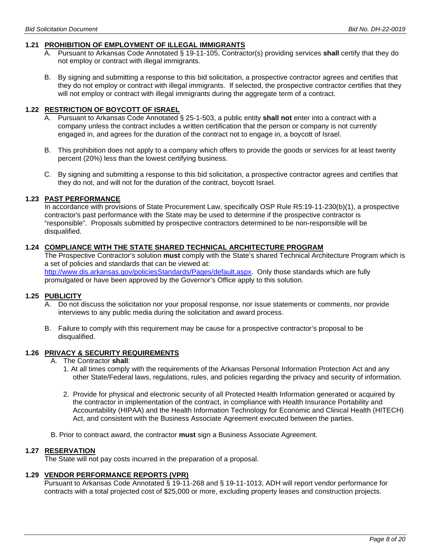#### **1.21 PROHIBITION OF EMPLOYMENT OF ILLEGAL IMMIGRANTS**

- A. Pursuant to Arkansas Code Annotated § 19-11-105, Contractor(s) providing services **shall** certify that they do not employ or contract with illegal immigrants.
- B. By signing and submitting a response to this bid solicitation, a prospective contractor agrees and certifies that they do not employ or contract with illegal immigrants. If selected, the prospective contractor certifies that they will not employ or contract with illegal immigrants during the aggregate term of a contract.

#### **1.22 RESTRICTION OF BOYCOTT OF ISRAEL**

- A. Pursuant to Arkansas Code Annotated § 25-1-503, a public entity **shall not** enter into a contract with a company unless the contract includes a written certification that the person or company is not currently engaged in, and agrees for the duration of the contract not to engage in, a boycott of Israel.
- B. This prohibition does not apply to a company which offers to provide the goods or services for at least twenty percent (20%) less than the lowest certifying business.
- C. By signing and submitting a response to this bid solicitation, a prospective contractor agrees and certifies that they do not, and will not for the duration of the contract, boycott Israel.

#### **1.23 PAST PERFORMANCE**

In accordance with provisions of State Procurement Law, specifically OSP Rule R5:19-11-230(b)(1), a prospective contractor's past performance with the State may be used to determine if the prospective contractor is "responsible". Proposals submitted by prospective contractors determined to be non-responsible will be disqualified.

#### **1.24 COMPLIANCE WITH THE STATE SHARED TECHNICAL ARCHITECTURE PROGRAM**

The Prospective Contractor's solution **must** comply with the State's shared Technical Architecture Program which is a set of policies and standards that can be viewed at: [http://www.dis.arkansas.gov/policiesStandards/Pages/default.aspx.](http://www.dis.arkansas.gov/policiesStandards/Pages/default.aspx) Only those standards which are fully promulgated or have been approved by the Governor's Office apply to this solution.

#### **1.25 PUBLICITY**

- A. Do not discuss the solicitation nor your proposal response, nor issue statements or comments, nor provide interviews to any public media during the solicitation and award process.
- B. Failure to comply with this requirement may be cause for a prospective contractor's proposal to be disqualified.

# **1.26 PRIVACY & SECURITY REQUIREMENTS**

- A. The Contractor **shall**:
	- 1. At all times comply with the requirements of the Arkansas Personal Information Protection Act and any other State/Federal laws, regulations, rules, and policies regarding the privacy and security of information.
	- 2. Provide for physical and electronic security of all Protected Health Information generated or acquired by the contractor in implementation of the contract, in compliance with Health Insurance Portability and Accountability (HIPAA) and the Health Information Technology for Economic and Clinical Health (HITECH) Act, and consistent with the Business Associate Agreement executed between the parties.
- B. Prior to contract award, the contractor **must** sign a Business Associate Agreement.

#### **1.27 RESERVATION**

The State will not pay costs incurred in the preparation of a proposal.

#### **1.29 VENDOR PERFORMANCE REPORTS (VPR)**

Pursuant to Arkansas Code Annotated § 19-11-268 and § 19-11-1013, ADH will report vendor performance for contracts with a total projected cost of \$25,000 or more, excluding property leases and construction projects.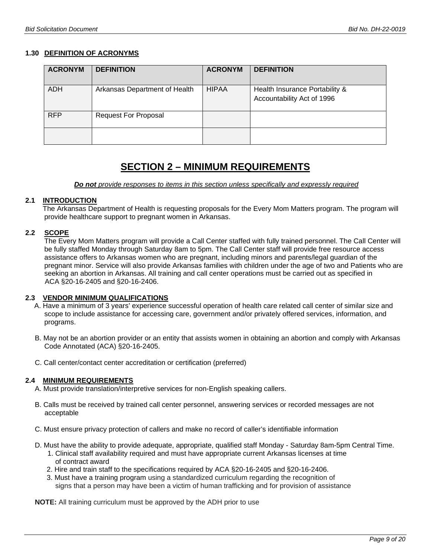#### **1.30 DEFINITION OF ACRONYMS**

| <b>ACRONYM</b> | <b>DEFINITION</b>             | <b>ACRONYM</b> | <b>DEFINITION</b>                                            |
|----------------|-------------------------------|----------------|--------------------------------------------------------------|
| <b>ADH</b>     | Arkansas Department of Health | <b>HIPAA</b>   | Health Insurance Portability &<br>Accountability Act of 1996 |
| <b>RFP</b>     | <b>Request For Proposal</b>   |                |                                                              |
|                |                               |                |                                                              |

# **SECTION 2 – MINIMUM REQUIREMENTS**

 *Do not provide responses to items in this section unless specifically and expressly required*

#### **2.1 INTRODUCTION**

 The Arkansas Department of Health is requesting proposals for the Every Mom Matters program. The program will provide healthcare support to pregnant women in Arkansas.

#### **2.2 SCOPE**

The Every Mom Matters program will provide a Call Center staffed with fully trained personnel. The Call Center will be fully staffed Monday through Saturday 8am to 5pm. The Call Center staff will provide free resource access assistance offers to Arkansas women who are pregnant, including minors and parents/legal guardian of the pregnant minor. Service will also provide Arkansas families with children under the age of two and Patients who are seeking an abortion in Arkansas. All training and call center operations must be carried out as specified in ACA §20-16-2405 and §20-16-2406.

#### **2.3 VENDOR MINIMUM QUALIFICATIONS**

- A. Have a minimum of 3 years' experience successful operation of health care related call center of similar size and scope to include assistance for accessing care, government and/or privately offered services, information, and programs.
- B. May not be an abortion provider or an entity that assists women in obtaining an abortion and comply with Arkansas Code Annotated (ACA) §20-16-2405.
- C. Call center/contact center accreditation or certification (preferred)

#### **2.4 MINIMUM REQUIREMENTS**

- A. Must provide translation/interpretive services for non-English speaking callers.
- B. Calls must be received by trained call center personnel, answering services or recorded messages are not acceptable
- C. Must ensure privacy protection of callers and make no record of caller's identifiable information
- D. Must have the ability to provide adequate, appropriate, qualified staff Monday Saturday 8am-5pm Central Time.
	- 1. Clinical staff availability required and must have appropriate current Arkansas licenses at time of contract award
	- 2. Hire and train staff to the specifications required by ACA §20-16-2405 and §20-16-2406.
	- 3. Must have a training program using a standardized curriculum regarding the recognition of signs that a person may have been a victim of human trafficking and for provision of assistance

**NOTE:** All training curriculum must be approved by the ADH prior to use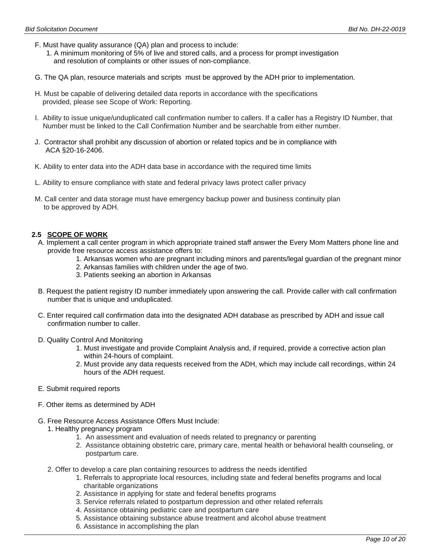- F. Must have quality assurance (QA) plan and process to include:
	- 1. A minimum monitoring of 5% of live and stored calls, and a process for prompt investigation and resolution of complaints or other issues of non-compliance.
- G. The QA plan, resource materials and scripts must be approved by the ADH prior to implementation.
- H. Must be capable of delivering detailed data reports in accordance with the specifications provided, please see Scope of Work: Reporting.
- I. Ability to issue unique/unduplicated call confirmation number to callers. If a caller has a Registry ID Number, that Number must be linked to the Call Confirmation Number and be searchable from either number.
- J. Contractor shall prohibit any discussion of abortion or related topics and be in compliance with ACA §20-16-2406.
- K. Ability to enter data into the ADH data base in accordance with the required time limits
- L. Ability to ensure compliance with state and federal privacy laws protect caller privacy
- M. Call center and data storage must have emergency backup power and business continuity plan to be approved by ADH.

# **2.5 SCOPE OF WORK**

- A. Implement a call center program in which appropriate trained staff answer the Every Mom Matters phone line and provide free resource access assistance offers to:
	- 1. Arkansas women who are pregnant including minors and parents/legal guardian of the pregnant minor
	- 2. Arkansas families with children under the age of two.
	- 3. Patients seeking an abortion in Arkansas
- B. Request the patient registry ID number immediately upon answering the call. Provide caller with call confirmation number that is unique and unduplicated.
- C. Enter required call confirmation data into the designated ADH database as prescribed by ADH and issue call confirmation number to caller.
- D. Quality Control And Monitoring
	- 1. Must investigate and provide Complaint Analysis and, if required, provide a corrective action plan within 24-hours of complaint.
	- 2. Must provide any data requests received from the ADH, which may include call recordings, within 24 hours of the ADH request.
- E. Submit required reports
- F. Other items as determined by ADH
- G. Free Resource Access Assistance Offers Must Include:
	- 1. Healthy pregnancy program
		- 1. An assessment and evaluation of needs related to pregnancy or parenting
		- 2. Assistance obtaining obstetric care, primary care, mental health or behavioral health counseling, or postpartum care.
	- 2. Offer to develop a care plan containing resources to address the needs identified
		- 1. Referrals to appropriate local resources, including state and federal benefits programs and local charitable organizations
		- 2. Assistance in applying for state and federal benefits programs
		- 3. Service referrals related to postpartum depression and other related referrals
		- 4. Assistance obtaining pediatric care and postpartum care
		- 5. Assistance obtaining substance abuse treatment and alcohol abuse treatment
		- 6. Assistance in accomplishing the plan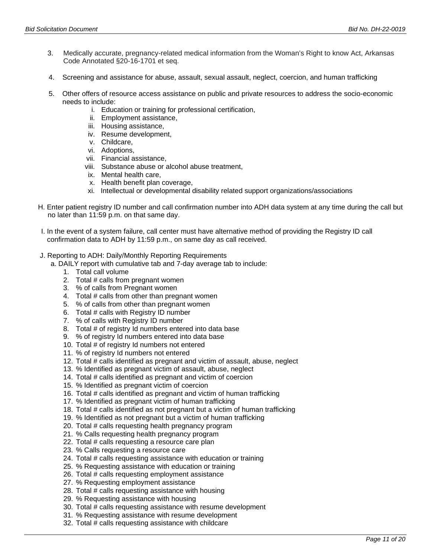- 3. Medically accurate, pregnancy-related medical information from the Woman's Right to know Act, Arkansas Code Annotated §20-16-1701 et seq.
- 4. Screening and assistance for abuse, assault, sexual assault, neglect, coercion, and human trafficking
- 5. Other offers of resource access assistance on public and private resources to address the socio-economic needs to include:
	- i. Education or training for professional certification,
	- ii. Employment assistance,
	- iii. Housing assistance,
	- iv. Resume development,
	- v. Childcare,
	- vi. Adoptions,
	- vii. Financial assistance,
	- viii. Substance abuse or alcohol abuse treatment,
	- ix. Mental health care,
	- x. Health benefit plan coverage,
	- xi. Intellectual or developmental disability related support organizations/associations
- H. Enter patient registry ID number and call confirmation number into ADH data system at any time during the call but no later than 11:59 p.m. on that same day.
- I. In the event of a system failure, call center must have alternative method of providing the Registry ID call confirmation data to ADH by 11:59 p.m., on same day as call received.
- J. Reporting to ADH: Daily/Monthly Reporting Requirements
	- a. DAILY report with cumulative tab and 7-day average tab to include:
		- 1. Total call volume
		- 2. Total # calls from pregnant women
		- 3. % of calls from Pregnant women
		- 4. Total # calls from other than pregnant women
		- 5. % of calls from other than pregnant women
		- 6. Total # calls with Registry ID number
		- 7. % of calls with Registry ID number
		- 8. Total # of registry Id numbers entered into data base
		- 9. % of registry Id numbers entered into data base
		- 10. Total # of registry Id numbers not entered
		- 11. % of registry Id numbers not entered
		- 12. Total # calls identified as pregnant and victim of assault, abuse, neglect
		- 13. % Identified as pregnant victim of assault, abuse, neglect
		- 14. Total # calls identified as pregnant and victim of coercion
		- 15. % Identified as pregnant victim of coercion
		- 16. Total # calls identified as pregnant and victim of human trafficking
		- 17. % Identified as pregnant victim of human trafficking
		- 18. Total # calls identified as not pregnant but a victim of human trafficking
		- 19. % Identified as not pregnant but a victim of human trafficking
		- 20. Total # calls requesting health pregnancy program
		- 21. % Calls requesting health pregnancy program
		- 22. Total # calls requesting a resource care plan
		- 23. % Calls requesting a resource care
		- 24. Total # calls requesting assistance with education or training
		- 25. % Requesting assistance with education or training
		- 26. Total # calls requesting employment assistance
		- 27. % Requesting employment assistance
		- 28. Total # calls requesting assistance with housing
		- 29. % Requesting assistance with housing
		- 30. Total # calls requesting assistance with resume development
		- 31. % Requesting assistance with resume development
		- 32. Total # calls requesting assistance with childcare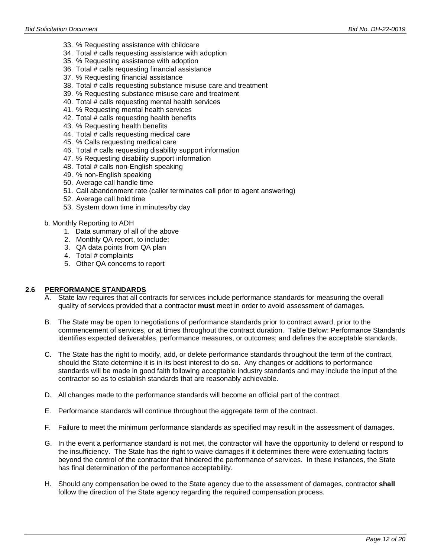- 33. % Requesting assistance with childcare
- 34. Total # calls requesting assistance with adoption
- 35. % Requesting assistance with adoption
- 36. Total # calls requesting financial assistance
- 37. % Requesting financial assistance
- 38. Total # calls requesting substance misuse care and treatment
- 39. % Requesting substance misuse care and treatment
- 40. Total # calls requesting mental health services
- 41. % Requesting mental health services
- 42. Total # calls requesting health benefits
- 43. % Requesting health benefits
- 44. Total # calls requesting medical care
- 45. % Calls requesting medical care
- 46. Total # calls requesting disability support information
- 47. % Requesting disability support information
- 48. Total # calls non-English speaking
- 49. % non-English speaking
- 50. Average call handle time
- 51. Call abandonment rate (caller terminates call prior to agent answering)
- 52. Average call hold time
- 53. System down time in minutes/by day
- b. Monthly Reporting to ADH
	- 1. Data summary of all of the above
	- 2. Monthly QA report, to include:
	- 3. QA data points from QA plan
	- 4. Total # complaints
	- 5. Other QA concerns to report

#### **2.6 PERFORMANCE STANDARDS**

- A. State law requires that all contracts for services include performance standards for measuring the overall quality of services provided that a contractor **must** meet in order to avoid assessment of damages.
- B. The State may be open to negotiations of performance standards prior to contract award, prior to the commencement of services, or at times throughout the contract duration. Table Below: Performance Standards identifies expected deliverables, performance measures, or outcomes; and defines the acceptable standards.
- C. The State has the right to modify, add, or delete performance standards throughout the term of the contract, should the State determine it is in its best interest to do so. Any changes or additions to performance standards will be made in good faith following acceptable industry standards and may include the input of the contractor so as to establish standards that are reasonably achievable.
- D. All changes made to the performance standards will become an official part of the contract.
- E. Performance standards will continue throughout the aggregate term of the contract.
- F. Failure to meet the minimum performance standards as specified may result in the assessment of damages.
- G. In the event a performance standard is not met, the contractor will have the opportunity to defend or respond to the insufficiency. The State has the right to waive damages if it determines there were extenuating factors beyond the control of the contractor that hindered the performance of services. In these instances, the State has final determination of the performance acceptability.
- H. Should any compensation be owed to the State agency due to the assessment of damages, contractor **shall**  follow the direction of the State agency regarding the required compensation process.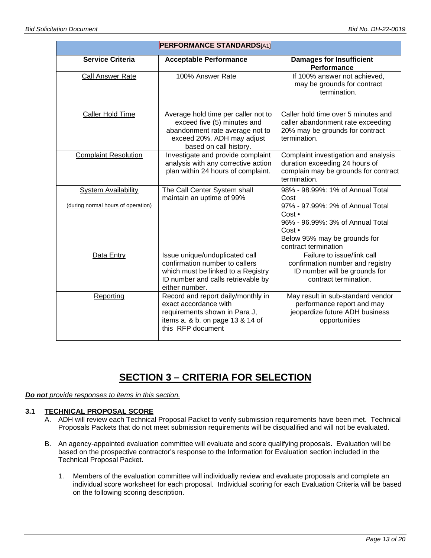| <b>PERFORMANCE STANDARDS</b> [A1]                                |                                                                                                                                                                |                                                                                                                                                                                              |  |
|------------------------------------------------------------------|----------------------------------------------------------------------------------------------------------------------------------------------------------------|----------------------------------------------------------------------------------------------------------------------------------------------------------------------------------------------|--|
| <b>Service Criteria</b>                                          | <b>Acceptable Performance</b>                                                                                                                                  | <b>Damages for Insufficient</b><br>Performance                                                                                                                                               |  |
| <b>Call Answer Rate</b>                                          | 100% Answer Rate                                                                                                                                               | If 100% answer not achieved,<br>may be grounds for contract<br>termination.                                                                                                                  |  |
| Caller Hold Time                                                 | Average hold time per caller not to<br>exceed five (5) minutes and<br>abandonment rate average not to<br>exceed 20%. ADH may adjust<br>based on call history.  | Caller hold time over 5 minutes and<br>caller abandonment rate exceeding<br>20% may be grounds for contract<br>termination.                                                                  |  |
| <b>Complaint Resolution</b>                                      | Investigate and provide complaint<br>analysis with any corrective action<br>plan within 24 hours of complaint.                                                 | Complaint investigation and analysis<br>duration exceeding 24 hours of<br>complain may be grounds for contract<br>termination.                                                               |  |
| <b>System Availability</b><br>(during normal hours of operation) | The Call Center System shall<br>maintain an uptime of 99%                                                                                                      | 98% - 98.99%: 1% of Annual Total<br>Cost<br>97% - 97.99%: 2% of Annual Total<br>Cost •<br>96% - 96.99%: 3% of Annual Total<br>Cost •<br>Below 95% may be grounds for<br>contract termination |  |
| Data Entry                                                       | Issue unique/unduplicated call<br>confirmation number to callers<br>which must be linked to a Registry<br>ID number and calls retrievable by<br>either number. | Failure to issue/link call<br>confirmation number and registry<br>ID number will be grounds for<br>contract termination.                                                                     |  |
| Reporting                                                        | Record and report daily/monthly in<br>exact accordance with<br>requirements shown in Para J,<br>items a. & b. on page 13 & 14 of<br>this RFP document          | May result in sub-standard vendor<br>performance report and may<br>jeopardize future ADH business<br>opportunities                                                                           |  |

# **SECTION 3 – CRITERIA FOR SELECTION**

*Do not provide responses to items in this section.*

#### **3.1 TECHNICAL PROPOSAL SCORE**

- A. ADH will review each Technical Proposal Packet to verify submission requirements have been met. Technical Proposals Packets that do not meet submission requirements will be disqualified and will not be evaluated.
- B. An agency-appointed evaluation committee will evaluate and score qualifying proposals. Evaluation will be based on the prospective contractor's response to the Information for Evaluation section included in the Technical Proposal Packet.
	- 1. Members of the evaluation committee will individually review and evaluate proposals and complete an individual score worksheet for each proposal. Individual scoring for each Evaluation Criteria will be based on the following scoring description.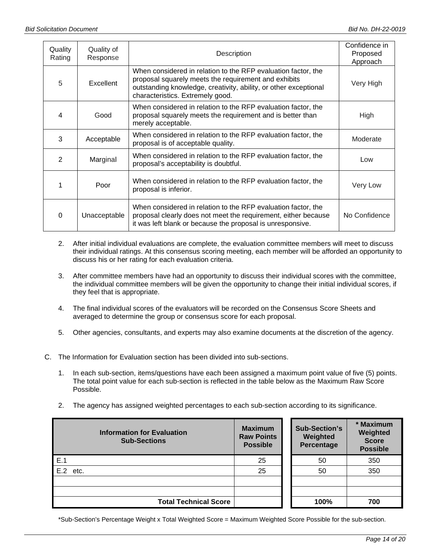| Quality<br>Rating | Quality of<br>Response | Description                                                                                                                                                                                                                   | Confidence in<br>Proposed<br>Approach |
|-------------------|------------------------|-------------------------------------------------------------------------------------------------------------------------------------------------------------------------------------------------------------------------------|---------------------------------------|
| 5                 | Excellent              | When considered in relation to the RFP evaluation factor, the<br>proposal squarely meets the requirement and exhibits<br>outstanding knowledge, creativity, ability, or other exceptional<br>characteristics. Extremely good. | Very High                             |
| 4                 | Good                   | When considered in relation to the RFP evaluation factor, the<br>proposal squarely meets the requirement and is better than<br>merely acceptable.                                                                             | High                                  |
| 3                 | Acceptable             | When considered in relation to the RFP evaluation factor, the<br>proposal is of acceptable quality.                                                                                                                           | Moderate                              |
| $\overline{2}$    | Marginal               | When considered in relation to the RFP evaluation factor, the<br>proposal's acceptability is doubtful.                                                                                                                        | Low                                   |
|                   | Poor                   | When considered in relation to the RFP evaluation factor, the<br>proposal is inferior.                                                                                                                                        | Very Low                              |
| $\Omega$          | Unacceptable           | When considered in relation to the RFP evaluation factor, the<br>proposal clearly does not meet the requirement, either because<br>it was left blank or because the proposal is unresponsive.                                 | No Confidence                         |

- 2. After initial individual evaluations are complete, the evaluation committee members will meet to discuss their individual ratings. At this consensus scoring meeting, each member will be afforded an opportunity to discuss his or her rating for each evaluation criteria.
- 3. After committee members have had an opportunity to discuss their individual scores with the committee, the individual committee members will be given the opportunity to change their initial individual scores, if they feel that is appropriate.
- 4. The final individual scores of the evaluators will be recorded on the Consensus Score Sheets and averaged to determine the group or consensus score for each proposal.
- 5. Other agencies, consultants, and experts may also examine documents at the discretion of the agency.
- C. The Information for Evaluation section has been divided into sub-sections.
	- 1. In each sub-section, items/questions have each been assigned a maximum point value of five (5) points. The total point value for each sub-section is reflected in the table below as the Maximum Raw Score Possible.
	- 2. The agency has assigned weighted percentages to each sub-section according to its significance.

| <b>Information for Evaluation</b><br><b>Sub-Sections</b> | <b>Maximum</b><br><b>Raw Points</b><br><b>Possible</b> | <b>Sub-Section's</b><br>Weighted<br>Percentage | * Maximum<br>Weighted<br><b>Score</b><br><b>Possible</b> |
|----------------------------------------------------------|--------------------------------------------------------|------------------------------------------------|----------------------------------------------------------|
| E.1                                                      | 25                                                     | 50                                             | 350                                                      |
| $E.2$ etc.                                               | 25                                                     | 50                                             | 350                                                      |
|                                                          |                                                        |                                                |                                                          |
| <b>Total Technical Score</b>                             |                                                        | 100%                                           | 700                                                      |

\*Sub-Section's Percentage Weight x Total Weighted Score = Maximum Weighted Score Possible for the sub-section.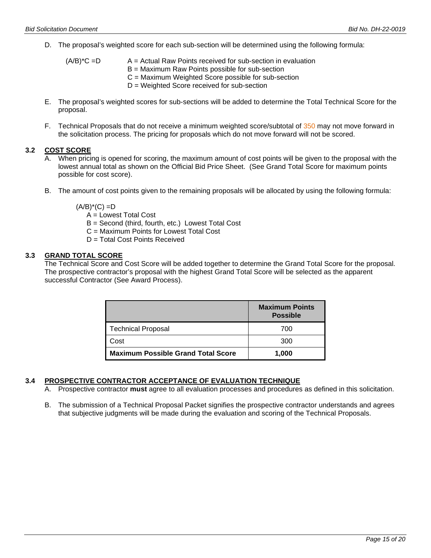D. The proposal's weighted score for each sub-section will be determined using the following formula:

| $(A/B)^*C = D$ | $A =$ Actual Raw Points received for sub-section in evaluation |
|----------------|----------------------------------------------------------------|
|                | $B =$ Maximum Raw Points possible for sub-section              |
|                | $C =$ Maximum Weighted Score possible for sub-section          |
|                | $D = Weighted Score received for sub-section$                  |

- E. The proposal's weighted scores for sub-sections will be added to determine the Total Technical Score for the proposal.
- F. Technical Proposals that do not receive a minimum weighted score/subtotal of 350 may not move forward in the solicitation process. The pricing for proposals which do not move forward will not be scored.

# **3.2 COST SCORE**

- A. When pricing is opened for scoring, the maximum amount of cost points will be given to the proposal with the lowest annual total as shown on the Official Bid Price Sheet. (See Grand Total Score for maximum points possible for cost score).
- B. The amount of cost points given to the remaining proposals will be allocated by using the following formula:

 $(A/B)^*(C) = D$ 

- A = Lowest Total Cost
- B = Second (third, fourth, etc.) Lowest Total Cost
- C = Maximum Points for Lowest Total Cost
- D = Total Cost Points Received

#### **3.3 GRAND TOTAL SCORE**

The Technical Score and Cost Score will be added together to determine the Grand Total Score for the proposal. The prospective contractor's proposal with the highest Grand Total Score will be selected as the apparent successful Contractor (See Award Process).

|                                           | <b>Maximum Points</b><br><b>Possible</b> |
|-------------------------------------------|------------------------------------------|
| <b>Technical Proposal</b>                 | 700                                      |
| Cost                                      | 300                                      |
| <b>Maximum Possible Grand Total Score</b> | 1,000                                    |

# **3.4 PROSPECTIVE CONTRACTOR ACCEPTANCE OF EVALUATION TECHNIQUE**

- A. Prospective contractor **must** agree to all evaluation processes and procedures as defined in this solicitation.
- B. The submission of a Technical Proposal Packet signifies the prospective contractor understands and agrees that subjective judgments will be made during the evaluation and scoring of the Technical Proposals.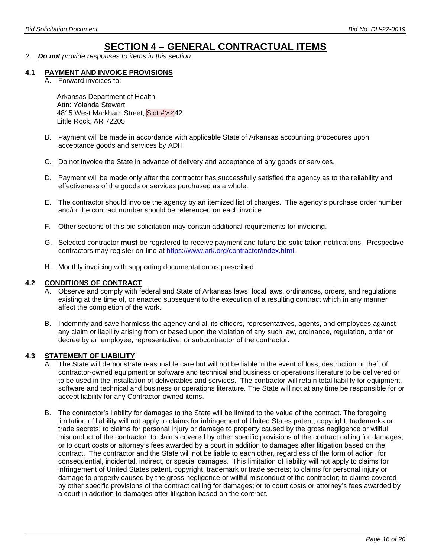# **SECTION 4 – GENERAL CONTRACTUAL ITEMS**

*2. Do not provide responses to items in this section.*

#### **4.1 PAYMENT AND INVOICE PROVISIONS**

A. Forward invoices to:

Arkansas Department of Health Attn: Yolanda Stewart 4815 West Markham Street, Slot #[A2]42 Little Rock, AR 72205

- B. Payment will be made in accordance with applicable State of Arkansas accounting procedures upon acceptance goods and services by ADH.
- C. Do not invoice the State in advance of delivery and acceptance of any goods or services.
- D. Payment will be made only after the contractor has successfully satisfied the agency as to the reliability and effectiveness of the goods or services purchased as a whole.
- E. The contractor should invoice the agency by an itemized list of charges. The agency's purchase order number and/or the contract number should be referenced on each invoice.
- F. Other sections of this bid solicitation may contain additional requirements for invoicing.
- G. Selected contractor **must** be registered to receive payment and future bid solicitation notifications. Prospective contractors may register on-line at [https://www.ark.org/contractor/index.html.](https://www.ark.org/vendor/index.html)
- H. Monthly invoicing with supporting documentation as prescribed.

#### **4.2 CONDITIONS OF CONTRACT**

- A. Observe and comply with federal and State of Arkansas laws, local laws, ordinances, orders, and regulations existing at the time of, or enacted subsequent to the execution of a resulting contract which in any manner affect the completion of the work.
- B. Indemnify and save harmless the agency and all its officers, representatives, agents, and employees against any claim or liability arising from or based upon the violation of any such law, ordinance, regulation, order or decree by an employee, representative, or subcontractor of the contractor.

#### **4.3 STATEMENT OF LIABILITY**

- A. The State will demonstrate reasonable care but will not be liable in the event of loss, destruction or theft of contractor-owned equipment or software and technical and business or operations literature to be delivered or to be used in the installation of deliverables and services. The contractor will retain total liability for equipment, software and technical and business or operations literature. The State will not at any time be responsible for or accept liability for any Contractor-owned items.
- B. The contractor's liability for damages to the State will be limited to the value of the contract. The foregoing limitation of liability will not apply to claims for infringement of United States patent, copyright, trademarks or trade secrets; to claims for personal injury or damage to property caused by the gross negligence or willful misconduct of the contractor; to claims covered by other specific provisions of the contract calling for damages; or to court costs or attorney's fees awarded by a court in addition to damages after litigation based on the contract. The contractor and the State will not be liable to each other, regardless of the form of action, for consequential, incidental, indirect, or special damages. This limitation of liability will not apply to claims for infringement of United States patent, copyright, trademark or trade secrets; to claims for personal injury or damage to property caused by the gross negligence or willful misconduct of the contractor; to claims covered by other specific provisions of the contract calling for damages; or to court costs or attorney's fees awarded by a court in addition to damages after litigation based on the contract.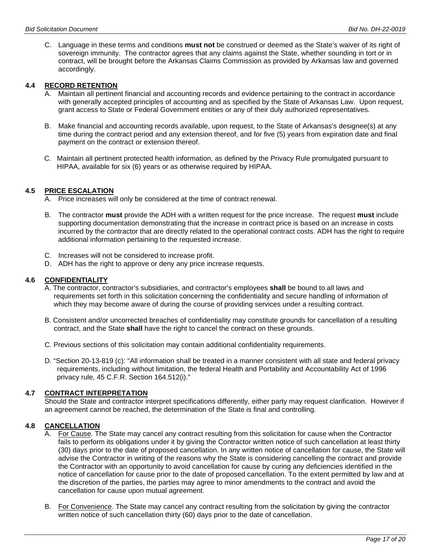C. Language in these terms and conditions **must not** be construed or deemed as the State's waiver of its right of sovereign immunity. The contractor agrees that any claims against the State, whether sounding in tort or in contract, will be brought before the Arkansas Claims Commission as provided by Arkansas law and governed accordingly.

#### **4.4 RECORD RETENTION**

- Maintain all pertinent financial and accounting records and evidence pertaining to the contract in accordance with generally accepted principles of accounting and as specified by the State of Arkansas Law. Upon request, grant access to State or Federal Government entities or any of their duly authorized representatives.
- B. Make financial and accounting records available, upon request, to the State of Arkansas's designee(s) at any time during the contract period and any extension thereof, and for five (5) years from expiration date and final payment on the contract or extension thereof.
- C. Maintain all pertinent protected health information, as defined by the Privacy Rule promulgated pursuant to HIPAA, available for six (6) years or as otherwise required by HIPAA.

#### **4.5 PRICE ESCALATION**

- A. Price increases will only be considered at the time of contract renewal.
- B. The contractor **must** provide the ADH with a written request for the price increase. The request **must** include supporting documentation demonstrating that the increase in contract price is based on an increase in costs incurred by the contractor that are directly related to the operational contract costs. ADH has the right to require additional information pertaining to the requested increase.
- C. Increases will not be considered to increase profit.
- D. ADH has the right to approve or deny any price increase requests.

#### **4.6 CONFIDENTIALITY**

- A. The contractor, contractor's subsidiaries, and contractor's employees **shall** be bound to all laws and requirements set forth in this solicitation concerning the confidentiality and secure handling of information of which they may become aware of during the course of providing services under a resulting contract.
- B. Consistent and/or uncorrected breaches of confidentiality may constitute grounds for cancellation of a resulting contract, and the State **shall** have the right to cancel the contract on these grounds.
- C. Previous sections of this solicitation may contain additional confidentiality requirements.
- D. "Section 20-13-819 (c): "All information shall be treated in a manner consistent with all state and federal privacy requirements, including without limitation, the federal Health and Portability and Accountability Act of 1996 privacy rule, 45 C.F.R. Section 164.512(i)."

# **4.7 CONTRACT INTERPRETATION**

Should the State and contractor interpret specifications differently, either party may request clarification. However if an agreement cannot be reached, the determination of the State is final and controlling.

# **4.8 CANCELLATION**

- A. For Cause. The State may cancel any contract resulting from this solicitation for cause when the Contractor fails to perform its obligations under it by giving the Contractor written notice of such cancellation at least thirty (30) days prior to the date of proposed cancellation. In any written notice of cancellation for cause, the State will advise the Contractor in writing of the reasons why the State is considering cancelling the contract and provide the Contractor with an opportunity to avoid cancellation for cause by curing any deficiencies identified in the notice of cancellation for cause prior to the date of proposed cancellation. To the extent permitted by law and at the discretion of the parties, the parties may agree to minor amendments to the contract and avoid the cancellation for cause upon mutual agreement.
- B. For Convenience. The State may cancel any contract resulting from the solicitation by giving the contractor written notice of such cancellation thirty (60) days prior to the date of cancellation.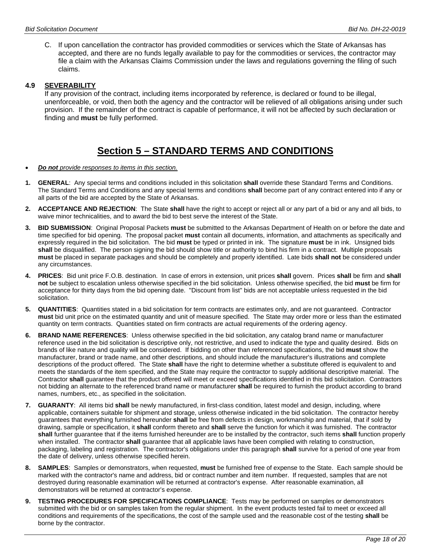C. If upon cancellation the contractor has provided commodities or services which the State of Arkansas has accepted, and there are no funds legally available to pay for the commodities or services, the contractor may file a claim with the Arkansas Claims Commission under the laws and regulations governing the filing of such claims.

#### **4.9 SEVERABILITY**

If any provision of the contract, including items incorporated by reference, is declared or found to be illegal, unenforceable, or void, then both the agency and the contractor will be relieved of all obligations arising under such provision. If the remainder of the contract is capable of performance, it will not be affected by such declaration or finding and **must** be fully performed.

# **Section 5 – STANDARD TERMS AND CONDITIONS**

- *Do not provide responses to items in this section.*
- **1. GENERAL**: Any special terms and conditions included in this solicitation **shall** override these Standard Terms and Conditions. The Standard Terms and Conditions and any special terms and conditions **shall** become part of any contract entered into if any or all parts of the bid are accepted by the State of Arkansas.
- **2. ACCEPTANCE AND REJECTION**: The State **shall** have the right to accept or reject all or any part of a bid or any and all bids, to waive minor technicalities, and to award the bid to best serve the interest of the State.
- **3. BID SUBMISSION**: Original Proposal Packets **must** be submitted to the Arkansas Department of Health on or before the date and time specified for bid opening. The proposal packet **must** contain all documents, information, and attachments as specifically and expressly required in the bid solicitation. The bid **must** be typed or printed in ink. The signature **must** be in ink. Unsigned bids shall be disqualified. The person signing the bid should show title or authority to bind his firm in a contract. Multiple proposals **must** be placed in separate packages and should be completely and properly identified. Late bids **shall not** be considered under any circumstances.
- **4. PRICES**: Bid unit price F.O.B. destination. In case of errors in extension, unit prices **shall** govern. Prices **shall** be firm and **shall not** be subject to escalation unless otherwise specified in the bid solicitation. Unless otherwise specified, the bid **must** be firm for acceptance for thirty days from the bid opening date. "Discount from list" bids are not acceptable unless requested in the bid solicitation.
- **5. QUANTITIES**: Quantities stated in a bid solicitation for term contracts are estimates only, and are not guaranteed. Contractor **must** bid unit price on the estimated quantity and unit of measure specified. The State may order more or less than the estimated quantity on term contracts. Quantities stated on firm contracts are actual requirements of the ordering agency.
- **6. BRAND NAME REFERENCES**: Unless otherwise specified in the bid solicitation, any catalog brand name or manufacturer reference used in the bid solicitation is descriptive only, not restrictive, and used to indicate the type and quality desired. Bids on brands of like nature and quality will be considered. If bidding on other than referenced specifications, the bid **must** show the manufacturer, brand or trade name, and other descriptions, and should include the manufacturer's illustrations and complete descriptions of the product offered. The State **shall** have the right to determine whether a substitute offered is equivalent to and meets the standards of the item specified, and the State may require the contractor to supply additional descriptive material. The Contractor **shall** guarantee that the product offered will meet or exceed specifications identified in this bid solicitation. Contractors not bidding an alternate to the referenced brand name or manufacturer **shall** be required to furnish the product according to brand names, numbers, etc., as specified in the solicitation.
- **7. GUARANTY**: All items bid **shall** be newly manufactured, in first-class condition, latest model and design, including, where applicable, containers suitable for shipment and storage, unless otherwise indicated in the bid solicitation. The contractor hereby guarantees that everything furnished hereunder **shall** be free from defects in design, workmanship and material, that if sold by drawing, sample or specification, it **shall** conform thereto and **shall** serve the function for which it was furnished. The contractor **shall** further guarantee that if the items furnished hereunder are to be installed by the contractor, such items **shall** function properly when installed. The contractor **shall** guarantee that all applicable laws have been complied with relating to construction, packaging, labeling and registration. The contractor's obligations under this paragraph **shall** survive for a period of one year from the date of delivery, unless otherwise specified herein.
- **8. SAMPLES**: Samples or demonstrators, when requested, **must** be furnished free of expense to the State. Each sample should be marked with the contractor's name and address, bid or contract number and item number. If requested, samples that are not destroyed during reasonable examination will be returned at contractor's expense. After reasonable examination, all demonstrators will be returned at contractor's expense.
- **9. TESTING PROCEDURES FOR SPECIFICATIONS COMPLIANCE**: Tests may be performed on samples or demonstrators submitted with the bid or on samples taken from the regular shipment. In the event products tested fail to meet or exceed all conditions and requirements of the specifications, the cost of the sample used and the reasonable cost of the testing **shall** be borne by the contractor.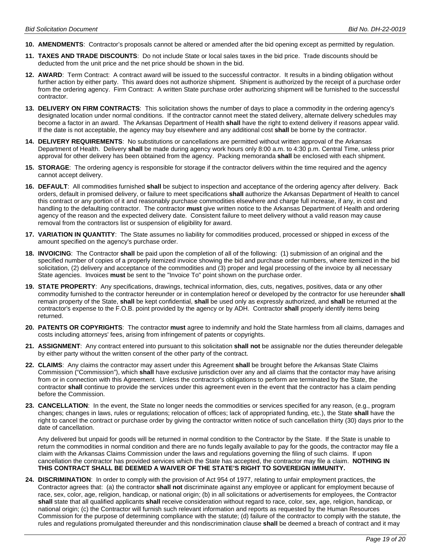- **10. AMENDMENTS**: Contractor's proposals cannot be altered or amended after the bid opening except as permitted by regulation.
- **11. TAXES AND TRADE DISCOUNTS**: Do not include State or local sales taxes in the bid price. Trade discounts should be deducted from the unit price and the net price should be shown in the bid.
- **12. AWARD**: Term Contract: A contract award will be issued to the successful contractor. It results in a binding obligation without further action by either party. This award does not authorize shipment. Shipment is authorized by the receipt of a purchase order from the ordering agency. Firm Contract: A written State purchase order authorizing shipment will be furnished to the successful contractor.
- **13. DELIVERY ON FIRM CONTRACTS**: This solicitation shows the number of days to place a commodity in the ordering agency's designated location under normal conditions. If the contractor cannot meet the stated delivery, alternate delivery schedules may become a factor in an award. The Arkansas Department of Health **shall** have the right to extend delivery if reasons appear valid. If the date is not acceptable, the agency may buy elsewhere and any additional cost **shall** be borne by the contractor.
- **14. DELIVERY REQUIREMENTS**: No substitutions or cancellations are permitted without written approval of the Arkansas Department of Health. Delivery **shall** be made during agency work hours only 8:00 a.m. to 4:30 p.m. Central Time, unless prior approval for other delivery has been obtained from the agency. Packing memoranda **shall** be enclosed with each shipment.
- **15. STORAGE**: The ordering agency is responsible for storage if the contractor delivers within the time required and the agency cannot accept delivery.
- **16. DEFAULT**: All commodities furnished **shall** be subject to inspection and acceptance of the ordering agency after delivery. Back orders, default in promised delivery, or failure to meet specifications **shall** authorize the Arkansas Department of Health to cancel this contract or any portion of it and reasonably purchase commodities elsewhere and charge full increase, if any, in cost and handling to the defaulting contractor. The contractor **must** give written notice to the Arkansas Department of Health and ordering agency of the reason and the expected delivery date. Consistent failure to meet delivery without a valid reason may cause removal from the contractors list or suspension of eligibility for award.
- **17. VARIATION IN QUANTITY**: The State assumes no liability for commodities produced, processed or shipped in excess of the amount specified on the agency's purchase order.
- **18. INVOICING**: The Contractor **shall** be paid upon the completion of all of the following: (1) submission of an original and the specified number of copies of a properly itemized invoice showing the bid and purchase order numbers, where itemized in the bid solicitation, (2) delivery and acceptance of the commodities and (3) proper and legal processing of the invoice by all necessary State agencies. Invoices **must** be sent to the "Invoice To" point shown on the purchase order.
- **19. STATE PROPERTY**: Any specifications, drawings, technical information, dies, cuts, negatives, positives, data or any other commodity furnished to the contractor hereunder or in contemplation hereof or developed by the contractor for use hereunder **shall** remain property of the State, **shall** be kept confidential, **shall** be used only as expressly authorized, and **shall** be returned at the contractor's expense to the F.O.B. point provided by the agency or by ADH. Contractor **shall** properly identify items being returned.
- **20. PATENTS OR COPYRIGHTS**: The contractor **must** agree to indemnify and hold the State harmless from all claims, damages and costs including attorneys' fees, arising from infringement of patents or copyrights.
- **21. ASSIGNMENT**: Any contract entered into pursuant to this solicitation **shall not** be assignable nor the duties thereunder delegable by either party without the written consent of the other party of the contract.
- **22. CLAIMS**: Any claims the contractor may assert under this Agreement **shall** be brought before the Arkansas State Claims Commission ("Commission"), which **shall** have exclusive jurisdiction over any and all claims that the contactor may have arising from or in connection with this Agreement. Unless the contractor's obligations to perform are terminated by the State, the contractor **shall** continue to provide the services under this agreement even in the event that the contractor has a claim pending before the Commission.
- **23. CANCELLATION**: In the event, the State no longer needs the commodities or services specified for any reason, (e.g., program changes; changes in laws, rules or regulations; relocation of offices; lack of appropriated funding, etc.), the State **shall** have the right to cancel the contract or purchase order by giving the contractor written notice of such cancellation thirty (30) days prior to the date of cancellation.

Any delivered but unpaid for goods will be returned in normal condition to the Contractor by the State. If the State is unable to return the commodities in normal condition and there are no funds legally available to pay for the goods, the contractor may file a claim with the Arkansas Claims Commission under the laws and regulations governing the filing of such claims. If upon cancellation the contractor has provided services which the State has accepted, the contractor may file a claim. **NOTHING IN THIS CONTRACT SHALL BE DEEMED A WAIVER OF THE STATE'S RIGHT TO SOVEREIGN IMMUNITY.**

**24. DISCRIMINATION**: In order to comply with the provision of Act 954 of 1977, relating to unfair employment practices, the Contractor agrees that: (a) the contractor **shall not** discriminate against any employee or applicant for employment because of race, sex, color, age, religion, handicap, or national origin; (b) in all solicitations or advertisements for employees, the Contractor **shall** state that all qualified applicants **shall** receive consideration without regard to race, color, sex, age, religion, handicap, or national origin; (c) the Contractor will furnish such relevant information and reports as requested by the Human Resources Commission for the purpose of determining compliance with the statute; (d) failure of the contractor to comply with the statute, the rules and regulations promulgated thereunder and this nondiscrimination clause **shall** be deemed a breach of contract and it may